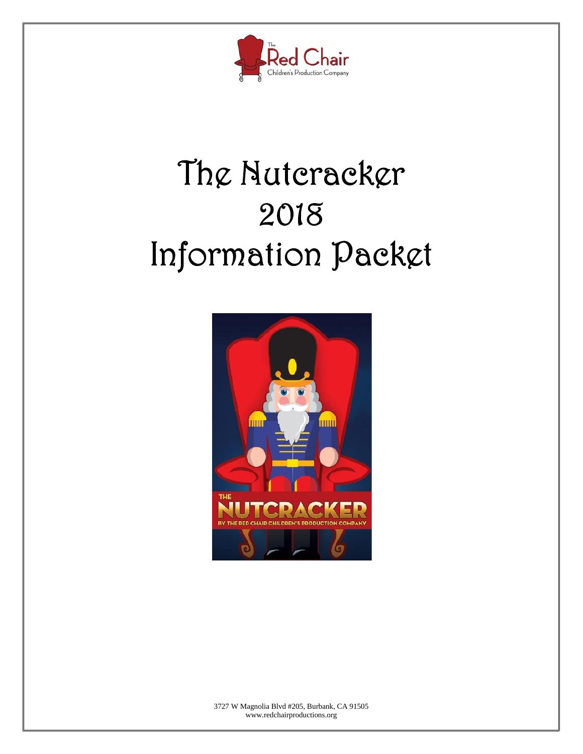

# **The Nutcracker 2018 Information Packet**



3727 W Magnolia Blvd #205, Burbank, CA 91505 www.redchairproductions.org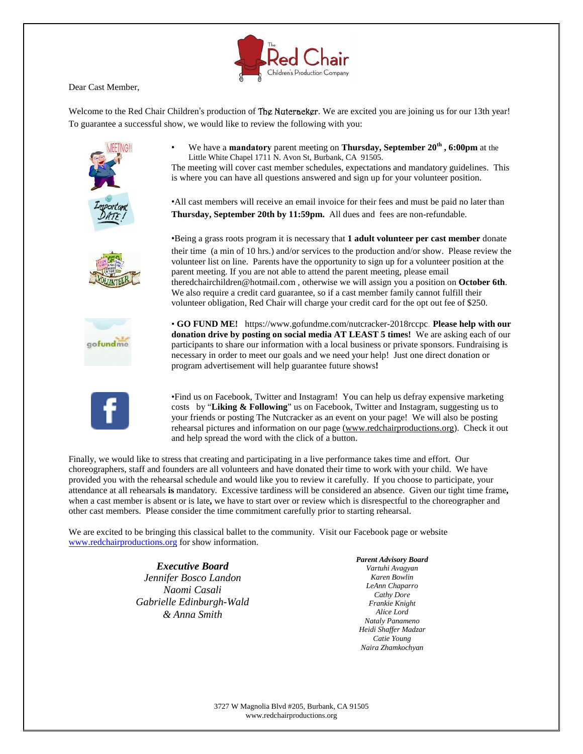Dear Cast Member,

Welcome to the Red Chair Children's production of **The Nuteracker**. We are excited you are joining us for our 13th year! To guarantee a successful show, we would like to review the following with you:



• We have a **mandatory** parent meeting on **Thursday, September 20th , 6:00pm** at the Little White Chapel 1711 N. Avon St, Burbank, CA 91505. The meeting will cover cast member schedules, expectations and mandatory guidelines. This

is where you can have all questions answered and sign up for your volunteer position.

•All cast members will receive an email invoice for their fees and must be paid no later than **Thursday, September 20th by 11:59pm.** All dues and fees are non-refundable.



•Being a grass roots program it is necessary that **1 adult volunteer per cast member** donate their time (a min of 10 hrs.) and/or services to the production and/or show. Please review the volunteer list on line. Parents have the opportunity to sign up for a volunteer position at the parent meeting. If you are not able to attend the parent meeting, please email theredchairchildren@hotmail.com , otherwise we will assign you a position on **October 6th**. We also require a credit card guarantee, so if a cast member family cannot fulfill their volunteer obligation, Red Chair will charge your credit card for the opt out fee of \$250.



• **GO FUND ME!** https://www.gofundme.com/nutcracker-2018rccpc. **Please help with our donation drive by posting on social media AT LEAST 5 times!** We are asking each of our participants to share our information with a local business or private sponsors. Fundraising is necessary in order to meet our goals and we need your help! Just one direct donation or program advertisement will help guarantee future shows**!**



•Find us on Facebook, Twitter and Instagram! You can help us defray expensive marketing costs by "**Liking & Following**" us on Facebook, Twitter and Instagram, suggesting us to your friends or posting The Nutcracker as an event on your page! We will also be posting rehearsal pictures and information on our page (www.redchairproductions.org). Check it out and help spread the word with the click of a button.

Finally, we would like to stress that creating and participating in a live performance takes time and effort. Our choreographers, staff and founders are allvolunteers and have donated their time to work with your child. We have provided you with the rehearsal schedule and would like you to review it carefully. If you choose to participate, your attendance at all rehearsals **is** mandatory. Excessive tardiness will be considered an absence. Given our tight time frame**,** when a cast member is absent or is late**,** we have to start over or review which is disrespectful to the choreographer and other cast members. Please consider the time commitment carefully prior to starting rehearsal.

We are excited to be bringing this classical ballet to the community. Visit our Facebook page or website www.redchairproductions.org for show information.

> *Executive Board Jennifer Bosco Landon Naomi Casali Gabrielle Edinburgh-Wald & Anna Smith*

*Parent Advisory Board Vartuhi Avagyan Karen Bowlin LeAnn Chaparro Cathy Dore Frankie Knight Alice Lord Nataly Panameno Heidi Shaffer Madzar Catie Young Naira Zhamkochyan*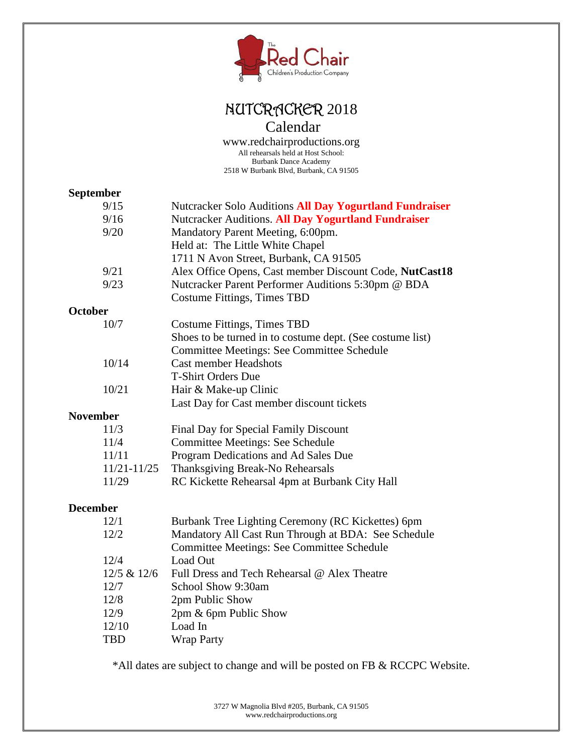

### **NUTCRACKER** 2018 Calendar

www.redchairproductions.org All rehearsals held at Host School: Burbank Dance Academy 2518 W Burbank Blvd, Burbank, CA 91505

### **September**<sup>0/15</sup>

|                 | 9/15                                      | Nutcracker Solo Auditions All Day Yogurtland Fundraiser   |  |
|-----------------|-------------------------------------------|-----------------------------------------------------------|--|
|                 | 9/16                                      | Nutcracker Auditions. All Day Yogurtland Fundraiser       |  |
|                 | 9/20<br>Mandatory Parent Meeting, 6:00pm. |                                                           |  |
|                 |                                           | Held at: The Little White Chapel                          |  |
|                 |                                           | 1711 N Avon Street, Burbank, CA 91505                     |  |
|                 | 9/21                                      | Alex Office Opens, Cast member Discount Code, NutCast18   |  |
|                 | 9/23                                      | Nutcracker Parent Performer Auditions 5:30pm @ BDA        |  |
|                 |                                           | Costume Fittings, Times TBD                               |  |
| <b>October</b>  |                                           |                                                           |  |
|                 | 10/7                                      | Costume Fittings, Times TBD                               |  |
|                 |                                           | Shoes to be turned in to costume dept. (See costume list) |  |
|                 |                                           | Committee Meetings: See Committee Schedule                |  |
|                 | 10/14                                     | <b>Cast member Headshots</b>                              |  |
|                 |                                           | <b>T-Shirt Orders Due</b>                                 |  |
|                 | 10/21                                     | Hair & Make-up Clinic                                     |  |
|                 |                                           | Last Day for Cast member discount tickets                 |  |
| <b>November</b> |                                           |                                                           |  |
|                 | 11/3                                      | Final Day for Special Family Discount                     |  |
|                 | 11/4                                      | <b>Committee Meetings: See Schedule</b>                   |  |
|                 | 11/11                                     | Program Dedications and Ad Sales Due                      |  |
|                 | $11/21 - 11/25$                           | Thanksgiving Break-No Rehearsals                          |  |
|                 | 11/29                                     | RC Kickette Rehearsal 4pm at Burbank City Hall            |  |
|                 |                                           |                                                           |  |

### **December**

| 12/1        | Burbank Tree Lighting Ceremony (RC Kickettes) 6pm   |
|-------------|-----------------------------------------------------|
| 12/2        | Mandatory All Cast Run Through at BDA: See Schedule |
|             | Committee Meetings: See Committee Schedule          |
| 12/4        | Load Out                                            |
| 12/5 & 12/6 | Full Dress and Tech Rehearsal @ Alex Theatre        |
| 12/7        | School Show 9:30am                                  |
| 12/8        | 2pm Public Show                                     |
| 12/9        | 2pm & 6pm Public Show                               |
| 12/10       | Load In                                             |
| <b>TBD</b>  | <b>Wrap Party</b>                                   |

\*All dates are subject to change and will be posted on FB & RCCPC Website.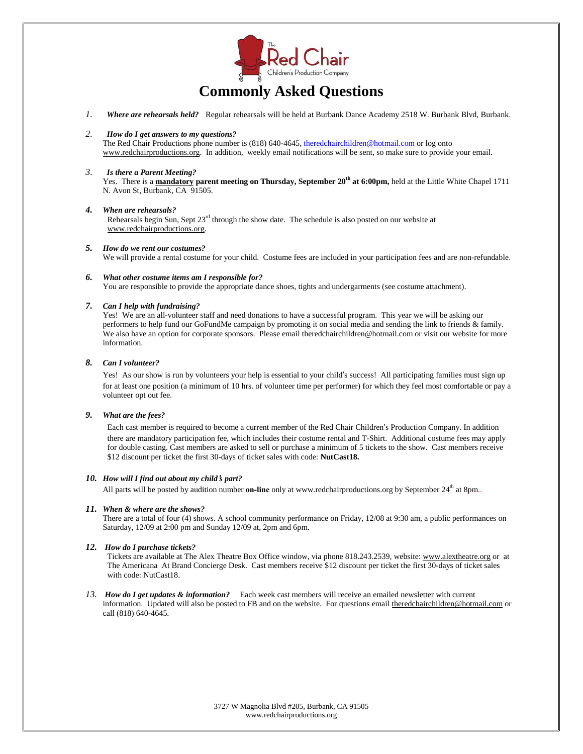

### **Commonly Asked Questions**

*1. Where are rehearsals held?* Regular rehearsals will be held at Burbank Dance Academy 2518 W. Burbank Blvd, Burbank.

#### *2. How doI get answers to my questions?*

The Red Chair Productions phone number is (818) 640-4645, theredchairchildren@hotmail.com or log onto www.redchairproductions.org. In addition, weekly email notifications will be sent, so make sure to provide your email.

*3. Is there a Parent Meeting?* Yes. There is a **mandatory parent meeting on Thursday, September 20 th at 6:00pm,** held at the Little White Chapel 1711 N. Avon St, Burbank, CA 91505.

#### *4. When are rehearsals?* Rehearsals begin Sun, Sept 23<sup>rd</sup> through the show date. The schedule is also posted on our website at www.redchairproductions.org.

*5. How dowe rent our costumes?* We will provide a rental costume for your child. Costume fees are included in your participation fees and are non-refundable.

#### *6. What other costume items am I responsible for?* You are responsible to provide the appropriate dance shoes, tights and undergarments (see costume attachment).

#### *7. Can I help with fundraising?*

Yes! We are an all-volunteer staff and need donations to have a successful program. This year we will be asking our performers to help fund our GoFundMe campaign by promoting it on social media and sending the link to friends & family. We also have an option for corporate sponsors. Please email theredchairchildren@hotmail.com or visit our website for more information.

#### *8. Can I volunteer?*

Yes! As our show is run by volunteers your help is essential to your child's success! All participating families must sign up for at least one position (a minimum of 10 hrs. of volunteer time per performer) for which they feel most comfortable or pay a volunteer opt out fee.

#### *9. What are the fees?*

Each cast member is required to become a current member of the Red Chair Children's Production Company. In addition there are mandatory participation fee, which includes their costume rental and T-Shirt. Additional costume fees may apply for double casting. Cast members are asked to sell or purchase a minimum of 5 tickets to the show. Cast members receive \$12 discount per ticket the first 30-days of ticket sales with code: **NutCast18.**

#### *10. How will I find outabout my child's part?*

All parts will be posted by audition number **on-line** only at www.redchairproductions.org by September 24<sup>th</sup> at 8pm..

#### *11. When & where are the shows?*

There are a total of four (4) shows. A school community performance on Friday, 12/08 at 9:30 am, a public performances on Saturday, 12/09 at 2:00 pm and Sunday 12/09 at, 2pm and 6pm.

#### *12. How do I purchase tickets?*

Tickets are available at The Alex Theatre Box Office window, via phone 818.243.2539, website: www.alextheatre.org or at The Americana At Brand Concierge Desk. Cast members receive \$12 discount per ticket the first 30-days of ticket sales with code: NutCast18.

*13. How do I get updates & information?* Each week cast members will receive an emailed newsletter with current information. Updated will also be posted to FB and on the website. For questions email theredchairchildren@hotmail.com or call (818) 640-4645.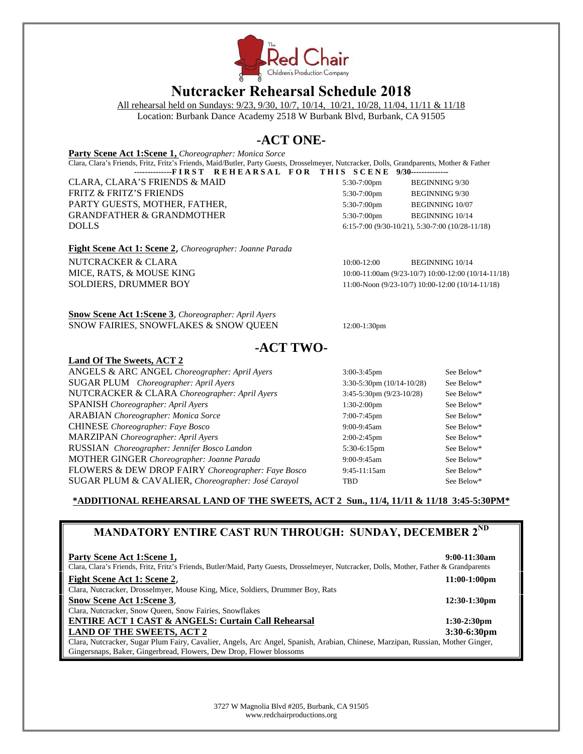

### **Nutcracker Rehearsal Schedule 2018**

All rehearsal held on Sundays: 9/23, 9/30, 10/7, 10/14, 10/21, 10/28, 11/04, 11/11 & 11/18

Location: Burbank Dance Academy 2518 W Burbank Blvd, Burbank, CA 91505

### **-ACT ONE-**

**Party Scene Act 1:Scene 1,** *Choreographer: Monica Sorce*

Clara, Clara's Friends, Fritz, Fritz's Friends, Maid/Butler, Party Guests, Drosselmeyer, Nutcracker, Dolls, Grandparents, Mother & Father -------------FIRST REHEARSAL FOR THIS SCENE 9/30--------------

CLARA, CLARA'S FRIENDS & MAID 5:30-7:00pm BEGINNING 9/30 FRITZ & FRITZ'S FRIENDS 5:30-7:00pm BEGINNING 9/30 PARTY GUESTS, MOTHER, FATHER,  $5.30-7:00 \text{pm}$  BEGINNING 10/07 GRANDFATHER & GRANDMOTHER  $\overline{5:30-7:00pm}$  BEGINNING 10/14 DOLLS 6:15-7:00 (9/30-10/21), 5:30-7:00 (10/28-11/18)

**Fight Scene Act 1: Scene 2**, *Choreographer: Joanne Parada*

NUTCRACKER & CLARA 10:00-12:00 BEGINNING 10/14 MICE, RATS, & MOUSE KING 10:00-11:00am (9/23-10/7) 10:00-12:00 (10/14-11/18) SOLDIERS, DRUMMER BOY 11:00-Noon (9/23-10/7) 10:00-12:00 (10/14-11/18)

**Snow Scene Act 1:Scene 3**, *Choreographer: April Ayers* SNOW FAIRIES, SNOWFLAKES & SNOW QUEEN 12:00-1:30pm

### **-ACT TWO-**

#### **Land Of The Sweets, ACT 2**

ANGELS & ARC ANGEL *Choreographer: April Ayers* 3:00-3:45pm See Below\* SUGAR PLUM *Choreographer: April Ayers* 3:30-5:30pm (10/14-10/28) See Below\* NUTCRACKER & CLARA *Choreographer: April Ayers* 3:45-5:30pm (9/23-10/28) See Below\* SPANISH *Choreographer: April Ayers* 1:30-2:00pm See Below\* ARABIAN *Choreographer: Monica Sorce* 7:00-7:45pm See Below\* CHINESE *Choreographer: Faye Bosco* 9:00-9:45am See Below\* MARZIPAN *Choreographer: April Ayers* 2:00-2:45pm See Below\* RUSSIAN *Choreographer: Jennifer Bosco Landon* 5:30-6:15pm See Below\* MOTHER GINGER *Choreographer: Joanne Parada* 9:00-9:45am See Below\* FLOWERS & DEW DROP FAIRY *Choreographer: Faye Bosco* 9:45-11:15am See Below\* SUGAR PLUM & CAVALIER, *Choreographer: José Carayol* TBD See Below\*

#### **\*ADDITIONAL REHEARSAL LAND OF THE SWEETS, ACT 2 Sun., 11/4, 11/11 & 11/18 3:45-5:30PM\***

### **MANDATORY ENTIRE CAST RUN THROUGH: SUNDAY, DECEMBER 2 ND**

| Party Scene Act 1: Scene 1,<br>Clara, Clara's Friends, Fritz, Fritz's Friends, Butler/Maid, Party Guests, Drosselmeyer, Nutcracker, Dolls, Mother, Father & Grandparents | 9:00-11:30am    |
|--------------------------------------------------------------------------------------------------------------------------------------------------------------------------|-----------------|
| Fight Scene Act 1: Scene 2,                                                                                                                                              | $11:00-1:00$ pm |
| Clara, Nutcracker, Drosselmyer, Mouse King, Mice, Soldiers, Drummer Boy, Rats                                                                                            |                 |
| <b>Snow Scene Act 1:Scene 3.</b>                                                                                                                                         | $12:30-1:30$ pm |
| Clara, Nutcracker, Snow Queen, Snow Fairies, Snowflakes                                                                                                                  |                 |
| <b>ENTIRE ACT 1 CAST &amp; ANGELS: Curtain Call Rehearsal</b>                                                                                                            | $1:30-2:30$ pm  |
| <b>LAND OF THE SWEETS, ACT 2</b>                                                                                                                                         | 3:30-6:30pm     |
| Clara, Nutcracker, Sugar Plum Fairy, Cavalier, Angels, Arc Angel, Spanish, Arabian, Chinese, Marzipan, Russian, Mother Ginger,                                           |                 |
| Gingersnaps, Baker, Gingerbread, Flowers, Dew Drop, Flower blossoms                                                                                                      |                 |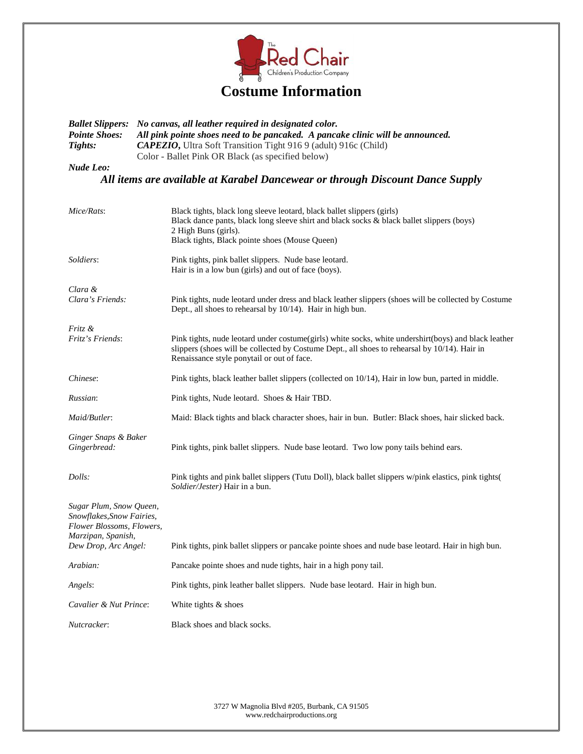

| <b>Ballet Slippers:</b><br><b>Pointe Shoes:</b><br>Tights:                                              | No canvas, all leather required in designated color.<br>All pink pointe shoes need to be pancaked. A pancake clinic will be announced.<br>CAPEZIO, Ultra Soft Transition Tight 916 9 (adult) 916c (Child)<br>Color - Ballet Pink OR Black (as specified below) |  |  |
|---------------------------------------------------------------------------------------------------------|----------------------------------------------------------------------------------------------------------------------------------------------------------------------------------------------------------------------------------------------------------------|--|--|
| <b>Nude Leo:</b>                                                                                        |                                                                                                                                                                                                                                                                |  |  |
|                                                                                                         | All items are available at Karabel Dancewear or through Discount Dance Supply                                                                                                                                                                                  |  |  |
| Mice/Rats:                                                                                              | Black tights, black long sleeve leotard, black ballet slippers (girls)<br>Black dance pants, black long sleeve shirt and black socks & black ballet slippers (boys)<br>2 High Buns (girls).<br>Black tights, Black pointe shoes (Mouse Queen)                  |  |  |
| Soldiers:                                                                                               | Pink tights, pink ballet slippers. Nude base leotard.<br>Hair is in a low bun (girls) and out of face (boys).                                                                                                                                                  |  |  |
| Clara &<br>Clara's Friends:                                                                             | Pink tights, nude leotard under dress and black leather slippers (shoes will be collected by Costume<br>Dept., all shoes to rehearsal by 10/14). Hair in high bun.                                                                                             |  |  |
| Fritz &<br>Fritz's Friends:                                                                             | Pink tights, nude leotard under costume(girls) white socks, white undershirt(boys) and black leather<br>slippers (shoes will be collected by Costume Dept., all shoes to rehearsal by 10/14). Hair in<br>Renaissance style ponytail or out of face.            |  |  |
| Chinese:                                                                                                | Pink tights, black leather ballet slippers (collected on 10/14), Hair in low bun, parted in middle.                                                                                                                                                            |  |  |
| Russian:                                                                                                | Pink tights, Nude leotard. Shoes & Hair TBD.                                                                                                                                                                                                                   |  |  |
| Maid/Butler:                                                                                            | Maid: Black tights and black character shoes, hair in bun. Butler: Black shoes, hair slicked back.                                                                                                                                                             |  |  |
| Ginger Snaps & Baker<br>Gingerbread:                                                                    | Pink tights, pink ballet slippers. Nude base leotard. Two low pony tails behind ears.                                                                                                                                                                          |  |  |
| Dolls:                                                                                                  | Pink tights and pink ballet slippers (Tutu Doll), black ballet slippers w/pink elastics, pink tights (<br>Soldier/Jester) Hair in a bun.                                                                                                                       |  |  |
| Sugar Plum, Snow Queen,<br>Snowflakes, Snow Fairies,<br>Flower Blossoms, Flowers,<br>Marzipan, Spanish, |                                                                                                                                                                                                                                                                |  |  |
| Dew Drop, Arc Angel:                                                                                    | Pink tights, pink ballet slippers or pancake pointe shoes and nude base leotard. Hair in high bun.                                                                                                                                                             |  |  |
| Arabian:                                                                                                | Pancake pointe shoes and nude tights, hair in a high pony tail.                                                                                                                                                                                                |  |  |
| Angels:                                                                                                 | Pink tights, pink leather ballet slippers. Nude base leotard. Hair in high bun.                                                                                                                                                                                |  |  |
| Cavalier & Nut Prince:                                                                                  | White tights & shoes                                                                                                                                                                                                                                           |  |  |
| Nutcracker:                                                                                             | Black shoes and black socks.                                                                                                                                                                                                                                   |  |  |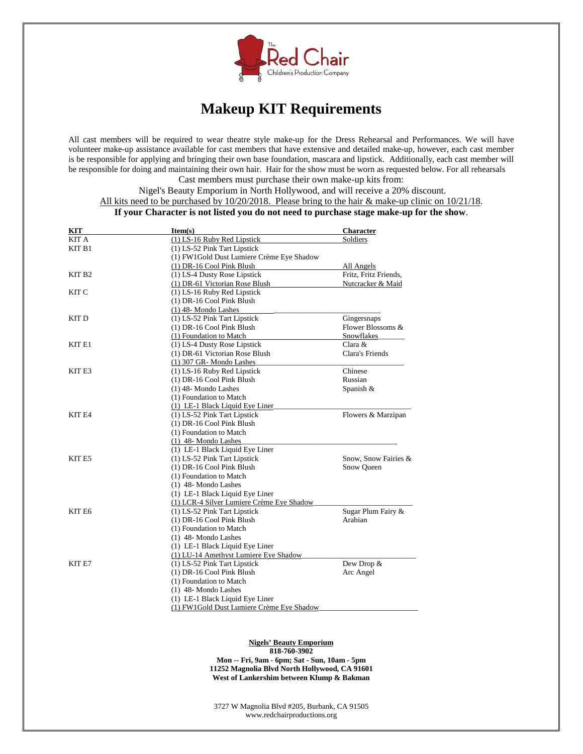

### **Makeup KIT Requirements**

All cast members will be required to wear theatre style make-up for the Dress Rehearsal and Performances. We will have volunteer make-up assistance available for cast members that have extensive and detailed make-up, however, each cast member is be responsible for applying and bringing their own base foundation, mascara and lipstick. Additionally, each cast member will be responsible for doing and maintaining their own hair. Hair for the show must be worn as requested below. For all rehearsals Cast members must purchase their own make-up kits from:

Nigel's Beauty Emporium in North Hollywood, and will receive a 20% discount.

All kits need to be purchased by 10/20/2018. Please bring to the hair & make-up clinic on 10/21/18.

#### **If your Character is not listed you do not need to purchase stage make-up for the show**.

| <b>KIT</b>         | Item(s)                                   | Character             |
|--------------------|-------------------------------------------|-----------------------|
| KIT A              | (1) LS-16 Ruby Red Lipstick               | Soldiers              |
| KIT <sub>B1</sub>  | (1) LS-52 Pink Tart Lipstick              |                       |
|                    | (1) FW1Gold Dust Lumiere Crème Eye Shadow |                       |
|                    | (1) DR-16 Cool Pink Blush                 | All Angels            |
| KIT B <sub>2</sub> | (1) LS-4 Dusty Rose Lipstick              | Fritz, Fritz Friends, |
|                    | (1) DR-61 Victorian Rose Blush            | Nutcracker & Maid     |
| KIT C              | (1) LS-16 Ruby Red Lipstick               |                       |
|                    | (1) DR-16 Cool Pink Blush                 |                       |
|                    | $(1)$ 48- Mondo Lashes                    |                       |
| KIT D              | (1) LS-52 Pink Tart Lipstick              | Gingersnaps           |
|                    | (1) DR-16 Cool Pink Blush                 | Flower Blossoms &     |
|                    | (1) Foundation to Match                   | Snowflakes            |
| KIT E1             | (1) LS-4 Dusty Rose Lipstick              | Clara &               |
|                    | (1) DR-61 Victorian Rose Blush            | Clara's Friends       |
|                    | (1) 307 GR- Mondo Lashes                  |                       |
| KIT E3             | (1) LS-16 Ruby Red Lipstick               | Chinese               |
|                    | (1) DR-16 Cool Pink Blush                 | Russian               |
|                    | $(1)$ 48-Mondo Lashes                     | Spanish &             |
|                    | (1) Foundation to Match                   |                       |
|                    | (1) LE-1 Black Liquid Eye Liner           |                       |
| KIT E4             | (1) LS-52 Pink Tart Lipstick              | Flowers & Marzipan    |
|                    | (1) DR-16 Cool Pink Blush                 |                       |
|                    | (1) Foundation to Match                   |                       |
|                    | $(1)$ 48-Mondo Lashes                     |                       |
|                    | (1) LE-1 Black Liquid Eye Liner           |                       |
| KIT E5             | (1) LS-52 Pink Tart Lipstick              | Snow, Snow Fairies &  |
|                    | (1) DR-16 Cool Pink Blush                 | Snow Queen            |
|                    | (1) Foundation to Match                   |                       |
|                    | $(1)$ 48-Mondo Lashes                     |                       |
|                    | (1) LE-1 Black Liquid Eye Liner           |                       |
|                    | (1) LCR-4 Silver Lumiere Crème Eye Shadow |                       |
| KIT E6             | (1) LS-52 Pink Tart Lipstick              | Sugar Plum Fairy &    |
|                    | (1) DR-16 Cool Pink Blush                 | Arabian               |
|                    | (1) Foundation to Match                   |                       |
|                    | $(1)$ 48-Mondo Lashes                     |                       |
|                    | (1) LE-1 Black Liquid Eye Liner           |                       |
|                    | (1) LU-14 Amethyst Lumiere Eye Shadow     |                       |
| KIT <sub>E7</sub>  | (1) LS-52 Pink Tart Lipstick              | Dew Drop &            |
|                    | (1) DR-16 Cool Pink Blush                 | Arc Angel             |
|                    | (1) Foundation to Match                   |                       |
|                    | $(1)$ 48- Mondo Lashes                    |                       |
|                    | (1) LE-1 Black Liquid Eye Liner           |                       |
|                    | (1) FW1Gold Dust Lumiere Crème Eye Shadow |                       |

#### **Nigels' Beauty Emporium 818-760-3902**

**Mon -- Fri, 9am - 6pm; Sat - Sun, 10am - 5pm 11252 Magnolia Blvd North Hollywood, CA 91601 West of Lankershim between Klump & Bakman**

3727 W Magnolia Blvd #205, Burbank, CA 91505 www.redchairproductions.org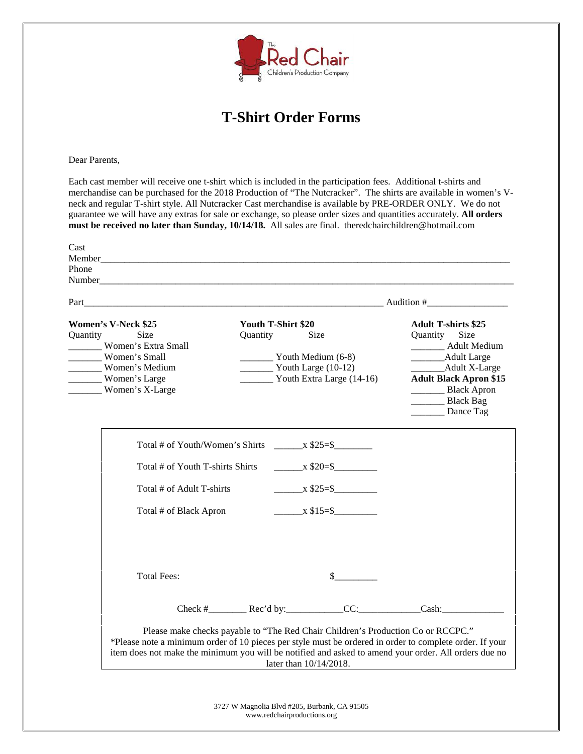

### **T-Shirt Order Forms**

Dear Parents,

Each cast member will receive one t-shirt which is included in the participation fees. Additional t-shirts and merchandise can be purchased for the 2018 Production of "The Nutcracker". The shirts are available in women's V neck and regular T-shirt style. All Nutcracker Cast merchandise is available by PRE-ORDER ONLY. We do not guarantee we will have any extras for sale or exchange, so please order sizes and quantities accurately. **All orders must be received no later than Sunday, 10/14/18.** All sales are final. theredchairchildren@hotmail.com

| Part_                                                                                                                                                 |                                                                                                                 |                           |                                                                                                                                                                                                     |  |
|-------------------------------------------------------------------------------------------------------------------------------------------------------|-----------------------------------------------------------------------------------------------------------------|---------------------------|-----------------------------------------------------------------------------------------------------------------------------------------------------------------------------------------------------|--|
| <b>Women's V-Neck \$25</b><br>Size<br>Quantity<br>Women's Extra Small<br>________ Women's Small<br>Women's Medium<br>Women's Large<br>Women's X-Large | Youth T-Shirt \$20<br>Quantity<br>Size<br>$\frac{1}{2}$ Youth Medium (6-8)<br>$\frac{1}{2}$ Youth Large (10-12) | Youth Extra Large (14-16) | <b>Adult T-shirts \$25</b><br>Size<br>Quantity<br>________ Adult Medium<br>_______Adult Large<br>___________Adult X-Large<br><b>Adult Black Apron \$15</b><br>Black Apron<br>Black Bag<br>Dance Tag |  |
|                                                                                                                                                       | Total # of Youth/Women's Shirts $x $25 = $$                                                                     |                           |                                                                                                                                                                                                     |  |
| Total # of Youth T-shirts Shirts                                                                                                                      |                                                                                                                 | $x \$20=$ \$              |                                                                                                                                                                                                     |  |
| Total # of Adult T-shirts                                                                                                                             |                                                                                                                 | $x \$25 = \$$             |                                                                                                                                                                                                     |  |
| Total # of Black Apron                                                                                                                                |                                                                                                                 | $\frac{\ }{2}$ x \$15=\$  |                                                                                                                                                                                                     |  |
| <b>Total Fees:</b>                                                                                                                                    |                                                                                                                 | $\mathbb{S}$              |                                                                                                                                                                                                     |  |
|                                                                                                                                                       |                                                                                                                 |                           |                                                                                                                                                                                                     |  |
|                                                                                                                                                       | Check $#$ Rec'd by: CC:                                                                                         |                           | Cash:                                                                                                                                                                                               |  |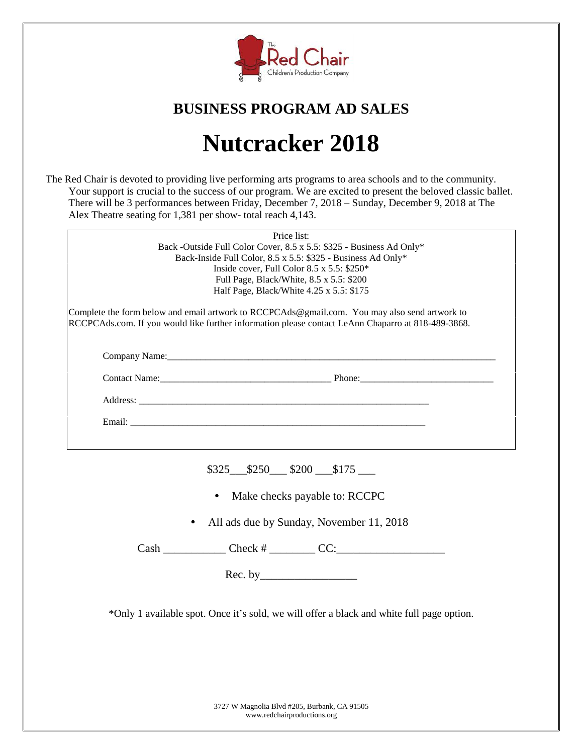

### **BUSINESS PROGRAM AD SALES**

# **Nutcracker 2018**

The Red Chair is devoted to providing live performing arts programs to area schools and to the community. Your support is crucial to the success of our program. We are excited to present the beloved classic ballet. There will be 3 performances between Friday, December 7, 2018 – Sunday, December 9, 2018 at The Alex Theatre seating for 1,381 per show- total reach 4,143.

|                                                                                                                                                                                                     | Price list:                                                          |  |  |
|-----------------------------------------------------------------------------------------------------------------------------------------------------------------------------------------------------|----------------------------------------------------------------------|--|--|
|                                                                                                                                                                                                     | Back -Outside Full Color Cover, 8.5 x 5.5: \$325 - Business Ad Only* |  |  |
| Back-Inside Full Color, 8.5 x 5.5: \$325 - Business Ad Only*                                                                                                                                        |                                                                      |  |  |
| Inside cover, Full Color 8.5 x 5.5: $$250*$                                                                                                                                                         |                                                                      |  |  |
|                                                                                                                                                                                                     | Full Page, Black/White, 8.5 x 5.5: \$200                             |  |  |
| Half Page, Black/White 4.25 x 5.5: \$175                                                                                                                                                            |                                                                      |  |  |
| Complete the form below and email artwork to RCCPCAds@gmail.com. You may also send artwork to<br>RCCPCAds.com. If you would like further information please contact LeAnn Chaparro at 818-489-3868. |                                                                      |  |  |
|                                                                                                                                                                                                     |                                                                      |  |  |
|                                                                                                                                                                                                     |                                                                      |  |  |
|                                                                                                                                                                                                     |                                                                      |  |  |
|                                                                                                                                                                                                     |                                                                      |  |  |
|                                                                                                                                                                                                     |                                                                      |  |  |
|                                                                                                                                                                                                     | $$325$ $$250$ $$200$ $$175$                                          |  |  |

- **•** Make checks payable to: RCCPC
- **•** All ads due by Sunday, November 11, 2018

 $\text{Cash } \_\_\_\_\_\_\_\_\_\_\_\_\_\_\_\_\_\_\_\_\_\_\_\_\_\_\_\_\_\_\_\_\_\_\_\_$ 

Rec. by\_\_\_\_\_\_\_\_\_\_\_\_\_\_\_\_\_

\*Only 1 available spot. Once it's sold, we will offer a black and white full page option.